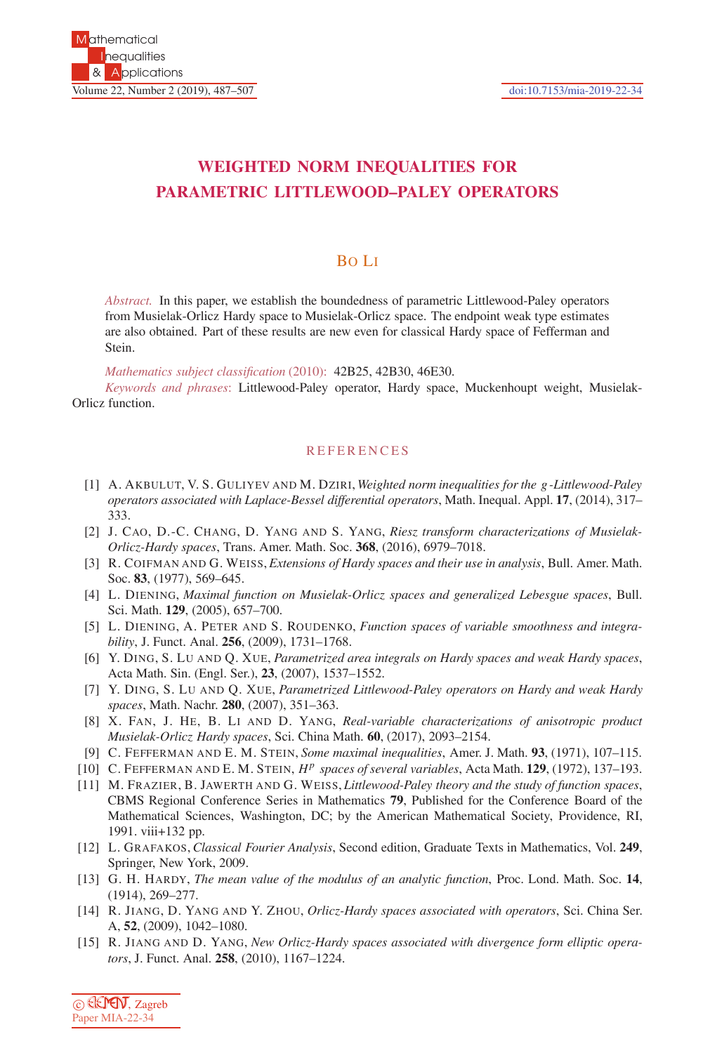## **WEIGHTED NORM INEQUALITIES FOR PARAMETRIC LITTLEWOOD–PALEY OPERATORS**

## BO LI

*Abstract.* In this paper, we establish the boundedness of parametric Littlewood-Paley operators from Musielak-Orlicz Hardy space to Musielak-Orlicz space. The endpoint weak type estimates are also obtained. Part of these results are new even for classical Hardy space of Fefferman and Stein.

*Mathematics subject classification* (2010): 42B25, 42B30, 46E30.

*Keywords and phrases*: Littlewood-Paley operator, Hardy space, Muckenhoupt weight, Musielak-Orlicz function.

## **REFERENCES**

- [1] A. AKBULUT, V. S. GULIYEV AND M. DZIRI, *Weighted norm inequalities for the g -Littlewood-Paley operators associated with Laplace-Bessel differential operators*, Math. Inequal. Appl. **17**, (2014), 317– 333.
- [2] J. CAO, D.-C. CHANG, D. YANG AND S. YANG, *Riesz transform characterizations of Musielak-Orlicz-Hardy spaces*, Trans. Amer. Math. Soc. **368**, (2016), 6979–7018.
- [3] R. COIFMAN AND G. WEISS,*Extensions of Hardy spaces and their use in analysis*, Bull. Amer. Math. Soc. **83**, (1977), 569–645.
- [4] L. DIENING, *Maximal function on Musielak-Orlicz spaces and generalized Lebesgue spaces*, Bull. Sci. Math. **129**, (2005), 657–700.
- [5] L. DIENING, A. PETER AND S. ROUDENKO, *Function spaces of variable smoothness and integrability*, J. Funct. Anal. **256**, (2009), 1731–1768.
- [6] Y. DING, S. LU AND Q. XUE, *Parametrized area integrals on Hardy spaces and weak Hardy spaces*, Acta Math. Sin. (Engl. Ser.), **23**, (2007), 1537–1552.
- [7] Y. DING, S. LU AND Q. XUE, *Parametrized Littlewood-Paley operators on Hardy and weak Hardy spaces*, Math. Nachr. **280**, (2007), 351–363.
- [8] X. FAN, J. HE, B. LI AND D. YANG, *Real-variable characterizations of anisotropic product Musielak-Orlicz Hardy spaces*, Sci. China Math. **60**, (2017), 2093–2154.
- [9] C. FEFFERMAN AND E. M. STEIN, *Some maximal inequalities*, Amer. J. Math. **93**, (1971), 107–115.
- [10] C. FEFFERMAN AND E. M. STEIN, *H<sup>p</sup> spaces of several variables*, Acta Math. **129**, (1972), 137–193.
- [11] M. FRAZIER, B. JAWERTH AND G. WEISS, *Littlewood-Paley theory and the study of function spaces*, CBMS Regional Conference Series in Mathematics **79**, Published for the Conference Board of the Mathematical Sciences, Washington, DC; by the American Mathematical Society, Providence, RI, 1991. viii+132 pp.
- [12] L. GRAFAKOS, *Classical Fourier Analysis*, Second edition, Graduate Texts in Mathematics, Vol. **249**, Springer, New York, 2009.
- [13] G. H. HARDY, *The mean value of the modulus of an analytic function*, Proc. Lond. Math. Soc. **14**, (1914), 269–277.
- [14] R. JIANG, D. YANG AND Y. ZHOU, *Orlicz-Hardy spaces associated with operators*, Sci. China Ser. A, **52**, (2009), 1042–1080.
- [15] R. JIANG AND D. YANG, *New Orlicz-Hardy spaces associated with divergence form elliptic operators*, J. Funct. Anal. **258**, (2010), 1167–1224.